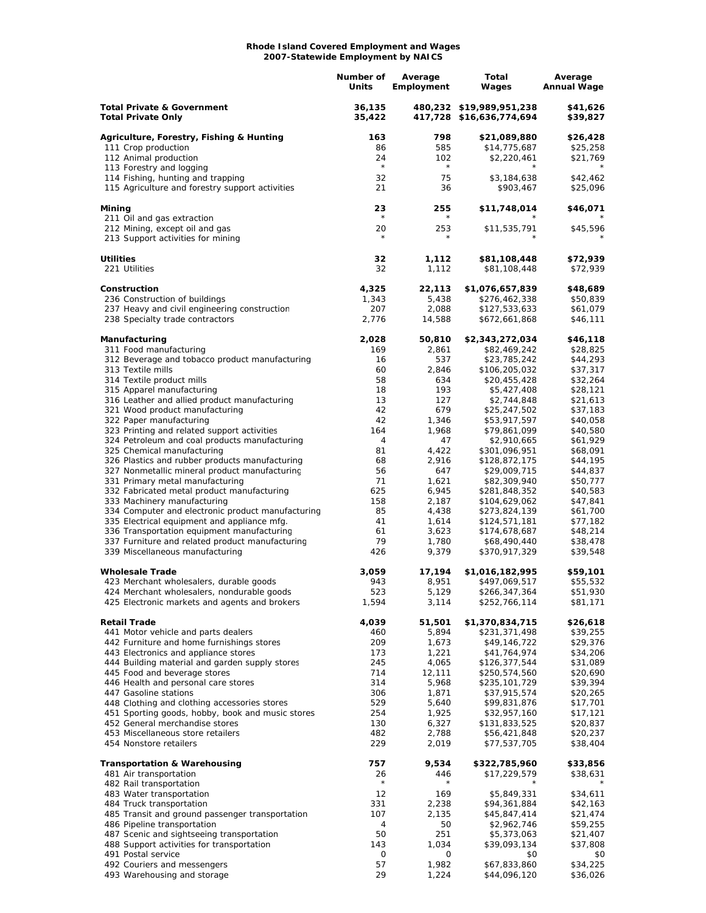## **Rhode Island Covered Employment and Wages 2007-Statewide Employment by NAICS**

|                                                                                               | Number of<br>Units | Average<br>Employment | Total<br>Wages                                       | Average<br><b>Annual Wage</b> |
|-----------------------------------------------------------------------------------------------|--------------------|-----------------------|------------------------------------------------------|-------------------------------|
| <b>Total Private &amp; Government</b><br><b>Total Private Only</b>                            | 36,135<br>35,422   |                       | 480,232 \$19,989,951,238<br>417,728 \$16,636,774,694 | \$41,626<br>\$39,827          |
| Agriculture, Forestry, Fishing & Hunting                                                      | 163                | 798                   | \$21,089,880                                         | \$26,428                      |
| 111 Crop production                                                                           | 86                 | 585                   | \$14,775,687                                         | \$25,258                      |
| 112 Animal production                                                                         | 24<br>$\star$      | 102                   | \$2,220,461                                          | \$21,769                      |
| 113 Forestry and logging<br>114 Fishing, hunting and trapping                                 | 32                 | $\star$<br>75         |                                                      | \$42,462                      |
| 115 Agriculture and forestry support activities                                               | 21                 | 36                    | \$3,184,638<br>\$903,467                             | \$25,096                      |
|                                                                                               |                    |                       |                                                      |                               |
| Mining<br>211 Oil and gas extraction                                                          | 23<br>$^{\star}$   | 255<br>$^\star$       | \$11,748,014                                         | \$46,071<br>$^\star$          |
| 212 Mining, except oil and gas                                                                | 20<br>$\star$      | 253<br>$\star$        | \$11,535,791                                         | \$45,596                      |
| 213 Support activities for mining                                                             |                    |                       |                                                      |                               |
| <b>Utilities</b>                                                                              | 32                 | 1,112                 | \$81,108,448                                         | \$72,939                      |
| 221 Utilities                                                                                 | 32                 | 1,112                 | \$81,108,448                                         | \$72,939                      |
| Construction                                                                                  | 4,325              | 22,113                | \$1,076,657,839                                      | \$48,689                      |
| 236 Construction of buildings                                                                 | 1,343              | 5,438                 | \$276,462,338                                        | \$50,839                      |
| 237 Heavy and civil engineering construction<br>238 Specialty trade contractors               | 207<br>2,776       | 2,088<br>14,588       | \$127,533,633<br>\$672,661,868                       | \$61,079<br>\$46,111          |
|                                                                                               |                    |                       |                                                      |                               |
| Manufacturing<br>311 Food manufacturing                                                       | 2,028<br>169       | 50,810<br>2,861       | \$2,343,272,034<br>\$82,469,242                      | \$46,118<br>\$28,825          |
| 312 Beverage and tobacco product manufacturing                                                | 16                 | 537                   | \$23,785,242                                         | \$44,293                      |
| 313 Textile mills                                                                             | 60                 | 2,846                 | \$106,205,032                                        | \$37,317                      |
| 314 Textile product mills                                                                     | 58                 | 634                   | \$20,455,428                                         | \$32,264                      |
| 315 Apparel manufacturing                                                                     | 18                 | 193                   | \$5,427,408                                          | \$28,121                      |
| 316 Leather and allied product manufacturing                                                  | 13                 | 127                   | \$2,744,848                                          | \$21,613                      |
| 321 Wood product manufacturing                                                                | 42                 | 679                   | \$25,247,502                                         | \$37,183                      |
| 322 Paper manufacturing                                                                       | 42                 | 1,346                 | \$53,917,597                                         | \$40,058                      |
| 323 Printing and related support activities<br>324 Petroleum and coal products manufacturing  | 164<br>4           | 1,968<br>47           | \$79,861,099                                         | \$40,580<br>\$61,929          |
| 325 Chemical manufacturing                                                                    | 81                 | 4,422                 | \$2,910,665<br>\$301,096,951                         | \$68,091                      |
| 326 Plastics and rubber products manufacturing                                                | 68                 | 2,916                 | \$128,872,175                                        | \$44,195                      |
| 327 Nonmetallic mineral product manufacturing                                                 | 56                 | 647                   | \$29,009,715                                         | \$44,837                      |
| 331 Primary metal manufacturing                                                               | 71                 | 1,621                 | \$82,309,940                                         | \$50,777                      |
| 332 Fabricated metal product manufacturing                                                    | 625                | 6,945                 | \$281,848,352                                        | \$40,583                      |
| 333 Machinery manufacturing                                                                   | 158                | 2,187                 | \$104,629,062                                        | \$47,841                      |
| 334 Computer and electronic product manufacturing                                             | 85                 | 4,438                 | \$273,824,139                                        | \$61,700                      |
| 335 Electrical equipment and appliance mfg.                                                   | 41                 | 1,614                 | \$124,571,181                                        | \$77,182                      |
| 336 Transportation equipment manufacturing<br>337 Furniture and related product manufacturing | 61<br>79           | 3,623<br>1,780        | \$174,678,687<br>\$68,490,440                        | \$48,214<br>\$38,478          |
| 339 Miscellaneous manufacturing                                                               | 426                | 9,379                 | \$370,917,329                                        | \$39,548                      |
| <b>Wholesale Trade</b>                                                                        | 3,059              | 17,194                | \$1,016,182,995                                      | \$59,101                      |
| 423 Merchant wholesalers, durable goods                                                       | 943                | 8,951                 | \$497,069,517                                        | \$55,532                      |
| 424 Merchant wholesalers, nondurable goods                                                    | 523                | 5,129                 | \$266,347,364                                        | \$51,930                      |
| 425 Electronic markets and agents and brokers                                                 | 1,594              | 3,114                 | \$252,766,114                                        | \$81,171                      |
| <b>Retail Trade</b>                                                                           | 4,039              | 51,501                | \$1,370,834,715                                      | \$26,618                      |
| 441 Motor vehicle and parts dealers                                                           | 460                | 5,894                 | \$231,371,498                                        | \$39,255                      |
| 442 Furniture and home furnishings stores                                                     | 209                | 1,673                 | \$49,146,722                                         | \$29,376                      |
| 443 Electronics and appliance stores                                                          | 173                | 1,221                 | \$41,764,974                                         | \$34,206                      |
| 444 Building material and garden supply stores                                                | 245                | 4,065                 | \$126,377,544                                        | \$31,089                      |
| 445 Food and beverage stores                                                                  | 714                | 12,111                | \$250,574,560                                        | \$20,690                      |
| 446 Health and personal care stores                                                           | 314                | 5,968                 | \$235,101,729                                        | \$39,394                      |
| 447 Gasoline stations<br>448 Clothing and clothing accessories stores                         | 306<br>529         | 1,871<br>5,640        | \$37,915,574<br>\$99,831,876                         | \$20,265<br>\$17,701          |
| 451 Sporting goods, hobby, book and music stores                                              | 254                | 1,925                 | \$32,957,160                                         | \$17,121                      |
| 452 General merchandise stores                                                                | 130                | 6,327                 | \$131,833,525                                        | \$20,837                      |
| 453 Miscellaneous store retailers                                                             | 482                | 2,788                 | \$56,421,848                                         | \$20,237                      |
| 454 Nonstore retailers                                                                        | 229                | 2,019                 | \$77,537,705                                         | \$38,404                      |
| <b>Transportation &amp; Warehousing</b>                                                       | 757                | 9,534                 | \$322,785,960                                        | \$33,856                      |
| 481 Air transportation                                                                        | 26                 | 446                   | \$17,229,579                                         | \$38,631                      |
| 482 Rail transportation                                                                       | $\star$            |                       |                                                      |                               |
| 483 Water transportation                                                                      | 12                 | 169                   | \$5,849,331                                          | \$34,611                      |
| 484 Truck transportation                                                                      | 331                | 2,238                 | \$94,361,884                                         | \$42,163                      |
| 485 Transit and ground passenger transportation                                               | 107                | 2,135                 | \$45,847,414                                         | \$21,474                      |
| 486 Pipeline transportation                                                                   | 4                  | 50                    | \$2,962,746                                          | \$59,255                      |
| 487 Scenic and sightseeing transportation<br>488 Support activities for transportation        | 50<br>143          | 251<br>1,034          | \$5,373,063<br>\$39,093,134                          | \$21,407<br>\$37,808          |
| 491 Postal service                                                                            | 0                  | 0                     | \$0                                                  | \$0                           |
| 492 Couriers and messengers                                                                   | 57                 | 1,982                 | \$67,833,860                                         | \$34,225                      |
| 493 Warehousing and storage                                                                   | 29                 | 1,224                 | \$44,096,120                                         | \$36,026                      |